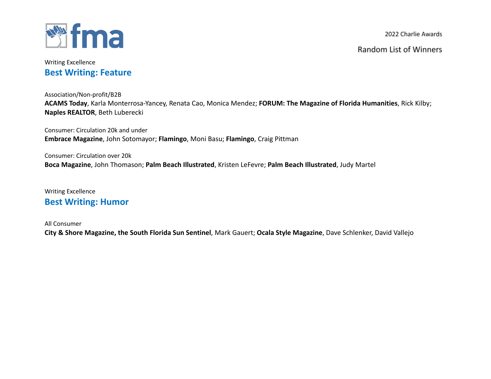

Random List of Winners

## Writing Excellence **Best Writing: Feature**

Association/Non-profit/B2B **ACAMS Today**, Karla Monterrosa-Yancey, Renata Cao, Monica Mendez; **FORUM: The Magazine of Florida Humanities**, Rick Kilby; **Naples REALTOR**, Beth Luberecki

Consumer: Circulation 20k and under **Embrace Magazine**, John Sotomayor; **Flamingo**, Moni Basu; **Flamingo**, Craig Pittman

Consumer: Circulation over 20k **Boca Magazine**, John Thomason; **Palm Beach Illustrated**, Kristen LeFevre; **Palm Beach Illustrated**, Judy Martel

Writing Excellence **Best Writing: Humor**

All Consumer

**City & Shore Magazine, the South Florida Sun Sentinel**, Mark Gauert; **Ocala Style Magazine**, Dave Schlenker, David Vallejo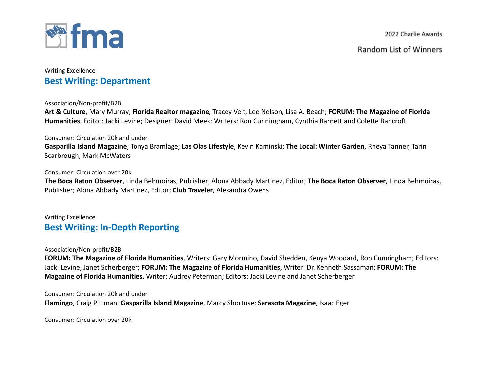

## Writing Excellence **Best Writing: Department**

Association/Non-profit/B2B

**Art & Culture**, Mary Murray; **Florida Realtor magazine**, Tracey Velt, Lee Nelson, Lisa A. Beach; **FORUM: The Magazine of Florida Humanities**, Editor: Jacki Levine; Designer: David Meek: Writers: Ron Cunningham, Cynthia Barnett and Colette Bancroft

### Consumer: Circulation 20k and under

**Gasparilla Island Magazine**, Tonya Bramlage; **Las Olas Lifestyle**, Kevin Kaminski; **The Local: Winter Garden**, Rheya Tanner, Tarin Scarbrough, Mark McWaters

### Consumer: Circulation over 20k

**The Boca Raton Observer**, Linda Behmoiras, Publisher; Alona Abbady Martinez, Editor; **The Boca Raton Observer**, Linda Behmoiras, Publisher; Alona Abbady Martinez, Editor; **Club Traveler**, Alexandra Owens

## Writing Excellence **Best Writing: In-Depth Reporting**

### Association/Non-profit/B2B

**FORUM: The Magazine of Florida Humanities**, Writers: Gary Mormino, David Shedden, Kenya Woodard, Ron Cunningham; Editors: Jacki Levine, Janet Scherberger; **FORUM: The Magazine of Florida Humanities**, Writer: Dr. Kenneth Sassaman; **FORUM: The Magazine of Florida Humanities**, Writer: Audrey Peterman; Editors: Jacki Levine and Janet Scherberger

Consumer: Circulation 20k and under

**Flamingo**, Craig Pittman; **Gasparilla Island Magazine**, Marcy Shortuse; **Sarasota Magazine**, Isaac Eger

Consumer: Circulation over 20k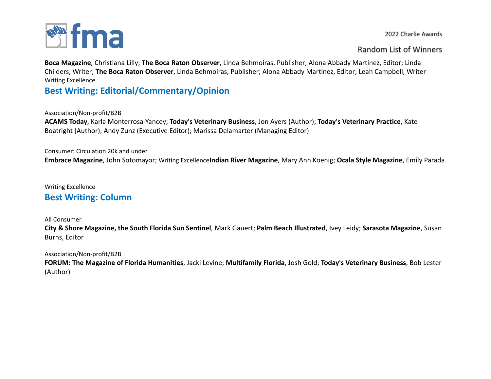

### Random List of Winners

**Boca Magazine**, Christiana Lilly; **The Boca Raton Observer**, Linda Behmoiras, Publisher; Alona Abbady Martinez, Editor; Linda Childers, Writer; **The Boca Raton Observer**, Linda Behmoiras, Publisher; Alona Abbady Martinez, Editor; Leah Campbell, Writer Writing Excellence

# **Best Writing: Editorial/Commentary/Opinion**

Association/Non-profit/B2B

**ACAMS Today**, Karla Monterrosa-Yancey; **Today's Veterinary Business**, Jon Ayers (Author); **Today's Veterinary Practice**, Kate Boatright (Author); Andy Zunz (Executive Editor); Marissa Delamarter (Managing Editor)

Consumer: Circulation 20k and under **Embrace Magazine**, John Sotomayor; Writing Excellence**Indian River Magazine**, Mary Ann Koenig; **Ocala Style Magazine**, Emily Parada

### Writing Excellence

# **Best Writing: Column**

### All Consumer

**City & Shore Magazine, the South Florida Sun Sentinel**, Mark Gauert; **Palm Beach Illustrated**, Ivey Leidy; **Sarasota Magazine**, Susan Burns, Editor

### Association/Non-profit/B2B

**FORUM: The Magazine of Florida Humanities**, Jacki Levine; **Multifamily Florida**, Josh Gold; **Today's Veterinary Business**, Bob Lester (Author)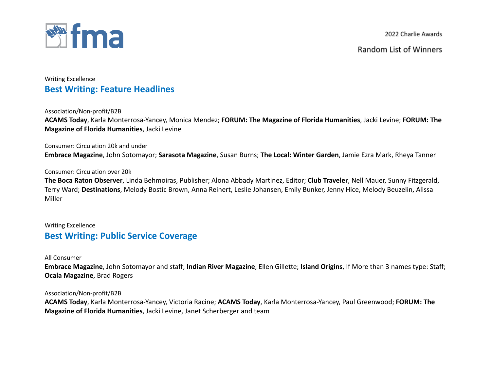

Random List of Winners

## Writing Excellence **Best Writing: Feature Headlines**

Association/Non-profit/B2B

**ACAMS Today**, Karla Monterrosa-Yancey, Monica Mendez; **FORUM: The Magazine of Florida Humanities**, Jacki Levine; **FORUM: The Magazine of Florida Humanities**, Jacki Levine

Consumer: Circulation 20k and under

**Embrace Magazine**, John Sotomayor; **Sarasota Magazine**, Susan Burns; **The Local: Winter Garden**, Jamie Ezra Mark, Rheya Tanner

#### Consumer: Circulation over 20k

**The Boca Raton Observer**, Linda Behmoiras, Publisher; Alona Abbady Martinez, Editor; **Club Traveler**, Nell Mauer, Sunny Fitzgerald, Terry Ward; **Destinations**, Melody Bostic Brown, Anna Reinert, Leslie Johansen, Emily Bunker, Jenny Hice, Melody Beuzelin, Alissa Miller

## Writing Excellence **Best Writing: Public Service Coverage**

All Consumer

**Embrace Magazine**, John Sotomayor and staff; **Indian River Magazine**, Ellen Gillette; **Island Origins**, If More than 3 names type: Staff; **Ocala Magazine**, Brad Rogers

Association/Non-profit/B2B

**ACAMS Today**, Karla Monterrosa-Yancey, Victoria Racine; **ACAMS Today**, Karla Monterrosa-Yancey, Paul Greenwood; **FORUM: The Magazine of Florida Humanities**, Jacki Levine, Janet Scherberger and team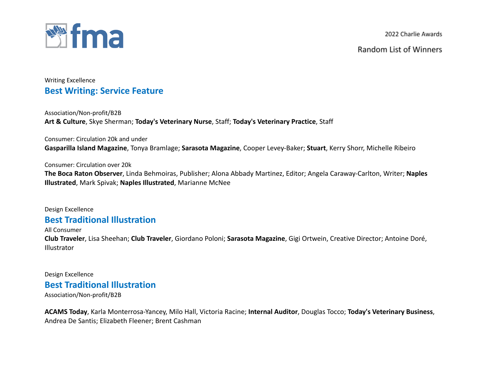

Random List of Winners

## Writing Excellence **Best Writing: Service Feature**

Association/Non-profit/B2B **Art & Culture**, Skye Sherman; **Today's Veterinary Nurse**, Staff; **Today's Veterinary Practice**, Staff

Consumer: Circulation 20k and under **Gasparilla Island Magazine**, Tonya Bramlage; **Sarasota Magazine**, Cooper Levey-Baker; **Stuart**, Kerry Shorr, Michelle Ribeiro

### Consumer: Circulation over 20k

**The Boca Raton Observer**, Linda Behmoiras, Publisher; Alona Abbady Martinez, Editor; Angela Caraway-Carlton, Writer; **Naples Illustrated**, Mark Spivak; **Naples Illustrated**, Marianne McNee

Design Excellence

# **Best Traditional Illustration**

All Consumer

**Club Traveler**, Lisa Sheehan; **Club Traveler**, Giordano Poloni; **Sarasota Magazine**, Gigi Ortwein, Creative Director; Antoine Doré, **Illustrator** 

Design Excellence

# **Best Traditional Illustration**

Association/Non-profit/B2B

**ACAMS Today**, Karla Monterrosa-Yancey, Milo Hall, Victoria Racine; **Internal Auditor**, Douglas Tocco; **Today's Veterinary Business**, Andrea De Santis; Elizabeth Fleener; Brent Cashman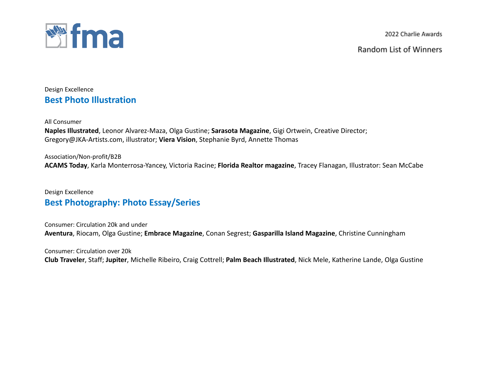

Random List of Winners

Design Excellence **Best Photo Illustration**

All Consumer

**Naples Illustrated**, Leonor Alvarez-Maza, Olga Gustine; **Sarasota Magazine**, Gigi Ortwein, Creative Director; Gregory@JKA-Artists.com, illustrator; **Viera Vision**, Stephanie Byrd, Annette Thomas

Association/Non-profit/B2B **ACAMS Today**, Karla Monterrosa-Yancey, Victoria Racine; **Florida Realtor magazine**, Tracey Flanagan, Illustrator: Sean McCabe

Design Excellence **Best Photography: Photo Essay/Series**

Consumer: Circulation 20k and under **Aventura**, Riocam, Olga Gustine; **Embrace Magazine**, Conan Segrest; **Gasparilla Island Magazine**, Christine Cunningham

Consumer: Circulation over 20k **Club Traveler**, Staff; **Jupiter**, Michelle Ribeiro, Craig Cottrell; **Palm Beach Illustrated**, Nick Mele, Katherine Lande, Olga Gustine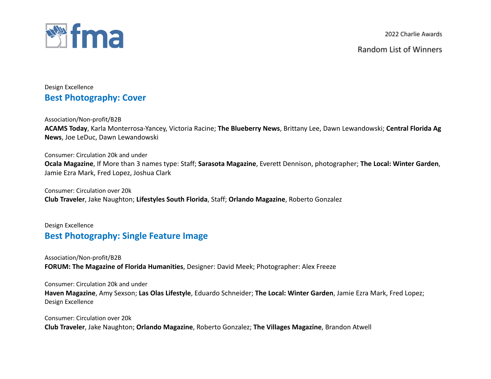

Random List of Winners

Design Excellence **Best Photography: Cover**

Association/Non-profit/B2B **ACAMS Today**, Karla Monterrosa-Yancey, Victoria Racine; **The Blueberry News**, Brittany Lee, Dawn Lewandowski; **Central Florida Ag News**, Joe LeDuc, Dawn Lewandowski

Consumer: Circulation 20k and under **Ocala Magazine**, If More than 3 names type: Staff; **Sarasota Magazine**, Everett Dennison, photographer; **The Local: Winter Garden**, Jamie Ezra Mark, Fred Lopez, Joshua Clark

Consumer: Circulation over 20k **Club Traveler**, Jake Naughton; **Lifestyles South Florida**, Staff; **Orlando Magazine**, Roberto Gonzalez

## Design Excellence **Best Photography: Single Feature Image**

Association/Non-profit/B2B **FORUM: The Magazine of Florida Humanities**, Designer: David Meek; Photographer: Alex Freeze

Consumer: Circulation 20k and under

**Haven Magazine**, Amy Sexson; **Las Olas Lifestyle**, Eduardo Schneider; **The Local: Winter Garden**, Jamie Ezra Mark, Fred Lopez; Design Excellence

Consumer: Circulation over 20k **Club Traveler**, Jake Naughton; **Orlando Magazine**, Roberto Gonzalez; **The Villages Magazine**, Brandon Atwell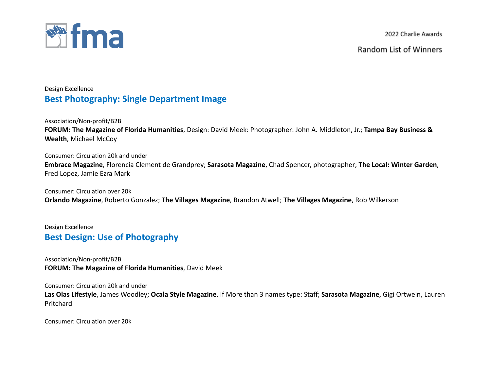

Random List of Winners

## Design Excellence **Best Photography: Single Department Image**

Association/Non-profit/B2B **FORUM: The Magazine of Florida Humanities**, Design: David Meek: Photographer: John A. Middleton, Jr.; **Tampa Bay Business & Wealth**, Michael McCoy

Consumer: Circulation 20k and under **Embrace Magazine**, Florencia Clement de Grandprey; **Sarasota Magazine**, Chad Spencer, photographer; **The Local: Winter Garden**, Fred Lopez, Jamie Ezra Mark

Consumer: Circulation over 20k **Orlando Magazine**, Roberto Gonzalez; **The Villages Magazine**, Brandon Atwell; **The Villages Magazine**, Rob Wilkerson

Design Excellence **Best Design: Use of Photography**

Association/Non-profit/B2B **FORUM: The Magazine of Florida Humanities**, David Meek

Consumer: Circulation 20k and under

**Las Olas Lifestyle**, James Woodley; **Ocala Style Magazine**, If More than 3 names type: Staff; **Sarasota Magazine**, Gigi Ortwein, Lauren Pritchard

Consumer: Circulation over 20k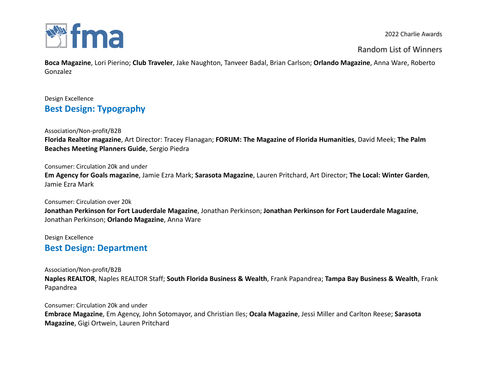

Random List of Winners

**Boca Magazine**, Lori Pierino; **Club Traveler**, Jake Naughton, Tanveer Badal, Brian Carlson; **Orlando Magazine**, Anna Ware, Roberto Gonzalez

## Design Excellence **Best Design: Typography**

Association/Non-profit/B2B **Florida Realtor magazine**, Art Director: Tracey Flanagan; **FORUM: The Magazine of Florida Humanities**, David Meek; **The Palm Beaches Meeting Planners Guide**, Sergio Piedra

Consumer: Circulation 20k and under

**Em Agency for Goals magazine**, Jamie Ezra Mark; **Sarasota Magazine**, Lauren Pritchard, Art Director; **The Local: Winter Garden**, Jamie Ezra Mark

Consumer: Circulation over 20k **Jonathan Perkinson for Fort Lauderdale Magazine**, Jonathan Perkinson; **Jonathan Perkinson for Fort Lauderdale Magazine**, Jonathan Perkinson; **Orlando Magazine**, Anna Ware

Design Excellence

**Best Design: Department**

Association/Non-profit/B2B

**Naples REALTOR**, Naples REALTOR Staff; **South Florida Business & Wealth**, Frank Papandrea; **Tampa Bay Business & Wealth**, Frank Papandrea

Consumer: Circulation 20k and under **Embrace Magazine**, Em Agency, John Sotomayor, and Christian Iles; **Ocala Magazine**, Jessi Miller and Carlton Reese; **Sarasota Magazine**, Gigi Ortwein, Lauren Pritchard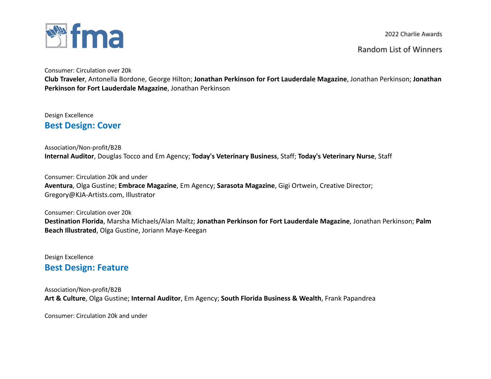

Random List of Winners

Consumer: Circulation over 20k

**Club Traveler**, Antonella Bordone, George Hilton; **Jonathan Perkinson for Fort Lauderdale Magazine**, Jonathan Perkinson; **Jonathan Perkinson for Fort Lauderdale Magazine**, Jonathan Perkinson

Design Excellence **Best Design: Cover**

Association/Non-profit/B2B **Internal Auditor**, Douglas Tocco and Em Agency; **Today's Veterinary Business**, Staff; **Today's Veterinary Nurse**, Staff

Consumer: Circulation 20k and under **Aventura**, Olga Gustine; **Embrace Magazine**, Em Agency; **Sarasota Magazine**, Gigi Ortwein, Creative Director; Gregory@KJA-Artists.com, Illustrator

Consumer: Circulation over 20k **Destination Florida**, Marsha Michaels/Alan Maltz; **Jonathan Perkinson for Fort Lauderdale Magazine**, Jonathan Perkinson; **Palm Beach Illustrated**, Olga Gustine, Joriann Maye-Keegan

Design Excellence **Best Design: Feature**

Association/Non-profit/B2B **Art & Culture**, Olga Gustine; **Internal Auditor**, Em Agency; **South Florida Business & Wealth**, Frank Papandrea

Consumer: Circulation 20k and under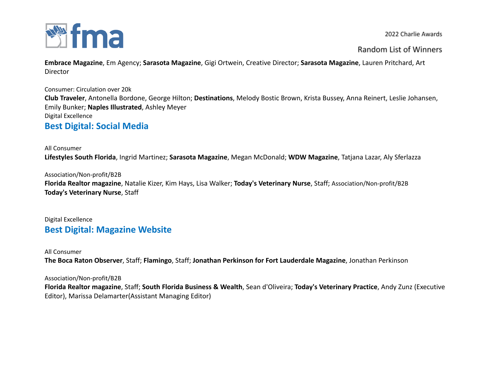

Random List of Winners

**Embrace Magazine**, Em Agency; **Sarasota Magazine**, Gigi Ortwein, Creative Director; **Sarasota Magazine**, Lauren Pritchard, Art Director

Consumer: Circulation over 20k

**Club Traveler**, Antonella Bordone, George Hilton; **Destinations**, Melody Bostic Brown, Krista Bussey, Anna Reinert, Leslie Johansen, Emily Bunker; **Naples Illustrated**, Ashley Meyer Digital Excellence

## **Best Digital: Social Media**

### All Consumer

**Lifestyles South Florida**, Ingrid Martinez; **Sarasota Magazine**, Megan McDonald; **WDW Magazine**, Tatjana Lazar, Aly Sferlazza

Association/Non-profit/B2B

**Florida Realtor magazine**, Natalie Kizer, Kim Hays, Lisa Walker; **Today's Veterinary Nurse**, Staff; Association/Non-profit/B2B **Today's Veterinary Nurse**, Staff

## Digital Excellence **Best Digital: Magazine Website**

### All Consumer

**The Boca Raton Observer**, Staff; **Flamingo**, Staff; **Jonathan Perkinson for Fort Lauderdale Magazine**, Jonathan Perkinson

### Association/Non-profit/B2B

**Florida Realtor magazine**, Staff; **South Florida Business & Wealth**, Sean d'Oliveira; **Today's Veterinary Practice**, Andy Zunz (Executive Editor), Marissa Delamarter(Assistant Managing Editor)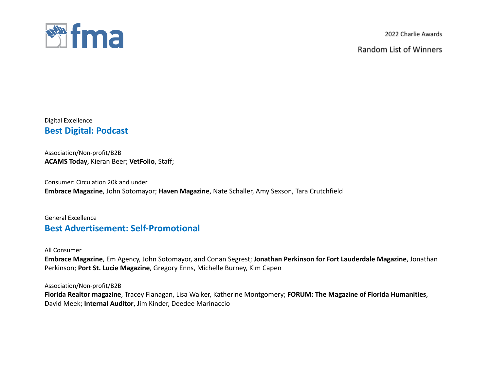

Random List of Winners

Digital Excellence **Best Digital: Podcast**

Association/Non-profit/B2B **ACAMS Today**, Kieran Beer; **VetFolio**, Staff;

Consumer: Circulation 20k and under **Embrace Magazine**, John Sotomayor; **Haven Magazine**, Nate Schaller, Amy Sexson, Tara Crutchfield

## General Excellence **Best Advertisement: Self-Promotional**

All Consumer

**Embrace Magazine**, Em Agency, John Sotomayor, and Conan Segrest; **Jonathan Perkinson for Fort Lauderdale Magazine**, Jonathan Perkinson; **Port St. Lucie Magazine**, Gregory Enns, Michelle Burney, Kim Capen

Association/Non-profit/B2B

**Florida Realtor magazine**, Tracey Flanagan, Lisa Walker, Katherine Montgomery; **FORUM: The Magazine of Florida Humanities**, David Meek; **Internal Auditor**, Jim Kinder, Deedee Marinaccio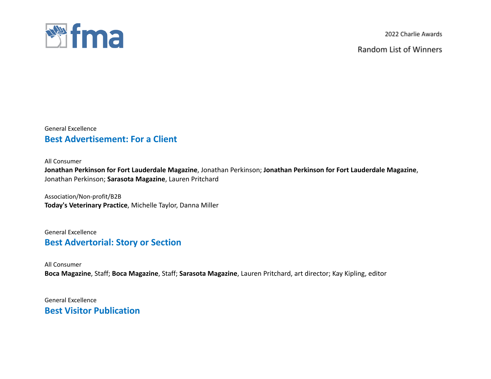

Random List of Winners

### General Excellence **Best Advertisement: For a Client**

All Consumer

**Jonathan Perkinson for Fort Lauderdale Magazine**, Jonathan Perkinson; **Jonathan Perkinson for Fort Lauderdale Magazine**, Jonathan Perkinson; **Sarasota Magazine**, Lauren Pritchard

Association/Non-profit/B2B **Today's Veterinary Practice**, Michelle Taylor, Danna Miller

General Excellence **Best Advertorial: Story or Section**

All Consumer **Boca Magazine**, Staff; **Boca Magazine**, Staff; **Sarasota Magazine**, Lauren Pritchard, art director; Kay Kipling, editor

General Excellence **Best Visitor Publication**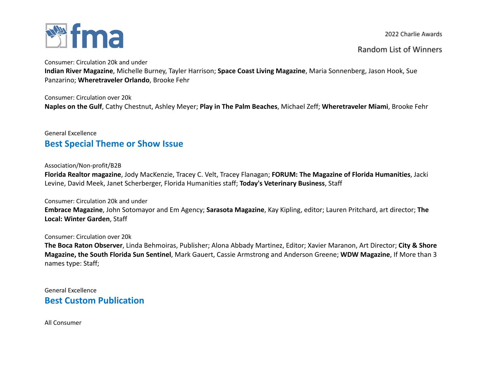

### Random List of Winners

Consumer: Circulation 20k and under

**Indian River Magazine**, Michelle Burney, Tayler Harrison; **Space Coast Living Magazine**, Maria Sonnenberg, Jason Hook, Sue Panzarino; **Wheretraveler Orlando**, Brooke Fehr

Consumer: Circulation over 20k **Naples on the Gulf**, Cathy Chestnut, Ashley Meyer; **Play in The Palm Beaches**, Michael Zeff; **Wheretraveler Miami**, Brooke Fehr

### General Excellence **Best Special Theme or Show Issue**

### Association/Non-profit/B2B

**Florida Realtor magazine**, Jody MacKenzie, Tracey C. Velt, Tracey Flanagan; **FORUM: The Magazine of Florida Humanities**, Jacki Levine, David Meek, Janet Scherberger, Florida Humanities staff; **Today's Veterinary Business**, Staff

### Consumer: Circulation 20k and under

**Embrace Magazine**, John Sotomayor and Em Agency; **Sarasota Magazine**, Kay Kipling, editor; Lauren Pritchard, art director; **The Local: Winter Garden**, Staff

### Consumer: Circulation over 20k

**The Boca Raton Observer**, Linda Behmoiras, Publisher; Alona Abbady Martinez, Editor; Xavier Maranon, Art Director; **City & Shore Magazine, the South Florida Sun Sentinel**, Mark Gauert, Cassie Armstrong and Anderson Greene; **WDW Magazine**, If More than 3 names type: Staff;

General Excellence **Best Custom Publication**

All Consumer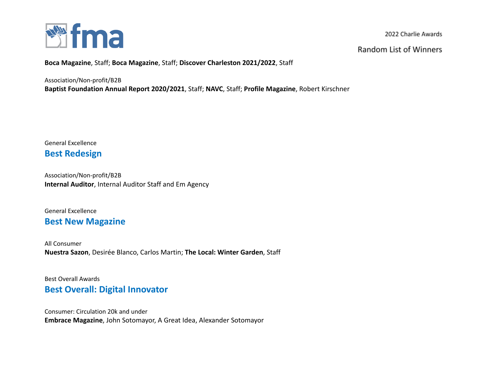

**Random List of Winners** 

**Boca Magazine**, Staff; **Boca Magazine**, Staff; **Discover Charleston 2021/2022**, Staff

Association/Non-profit/B2B

**Baptist Foundation Annual Report 2020/2021**, Staff; **NAVC**, Staff; **Profile Magazine**, Robert Kirschner

General Excellence **Best Redesign**

Association/Non-profit/B2B **Internal Auditor**, Internal Auditor Staff and Em Agency

General Excellence

## **Best New Magazine**

All Consumer **Nuestra Sazon**, Desirée Blanco, Carlos Martin; **The Local: Winter Garden**, Staff

Best Overall Awards **Best Overall: Digital Innovator**

Consumer: Circulation 20k and under **Embrace Magazine**, John Sotomayor, A Great Idea, Alexander Sotomayor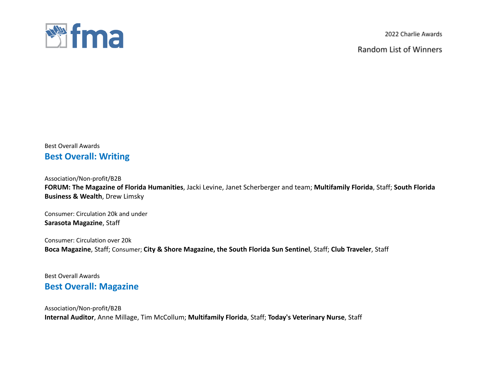

Random List of Winners

## Best Overall Awards **Best Overall: Writing**

Association/Non-profit/B2B

**FORUM: The Magazine of Florida Humanities**, Jacki Levine, Janet Scherberger and team; **Multifamily Florida**, Staff; **South Florida Business & Wealth**, Drew Limsky

Consumer: Circulation 20k and under **Sarasota Magazine**, Staff

Consumer: Circulation over 20k **Boca Magazine**, Staff; Consumer; **City & Shore Magazine, the South Florida Sun Sentinel**, Staff; **Club Traveler**, Staff

Best Overall Awards **Best Overall: Magazine**

Association/Non-profit/B2B **Internal Auditor**, Anne Millage, Tim McCollum; **Multifamily Florida**, Staff; **Today's Veterinary Nurse**, Staff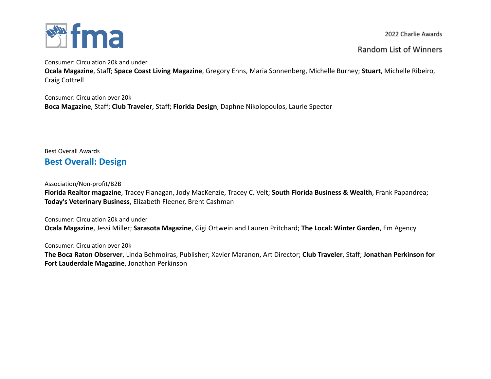

Random List of Winners

Consumer: Circulation 20k and under

**Ocala Magazine**, Staff; **Space Coast Living Magazine**, Gregory Enns, Maria Sonnenberg, Michelle Burney; **Stuart**, Michelle Ribeiro, Craig Cottrell

Consumer: Circulation over 20k **Boca Magazine**, Staff; **Club Traveler**, Staff; **Florida Design**, Daphne Nikolopoulos, Laurie Spector

Best Overall Awards **Best Overall: Design**

Association/Non-profit/B2B

**Florida Realtor magazine**, Tracey Flanagan, Jody MacKenzie, Tracey C. Velt; **South Florida Business & Wealth**, Frank Papandrea; **Today's Veterinary Business**, Elizabeth Fleener, Brent Cashman

Consumer: Circulation 20k and under **Ocala Magazine**, Jessi Miller; **Sarasota Magazine**, Gigi Ortwein and Lauren Pritchard; **The Local: Winter Garden**, Em Agency

Consumer: Circulation over 20k

**The Boca Raton Observer**, Linda Behmoiras, Publisher; Xavier Maranon, Art Director; **Club Traveler**, Staff; **Jonathan Perkinson for Fort Lauderdale Magazine**, Jonathan Perkinson